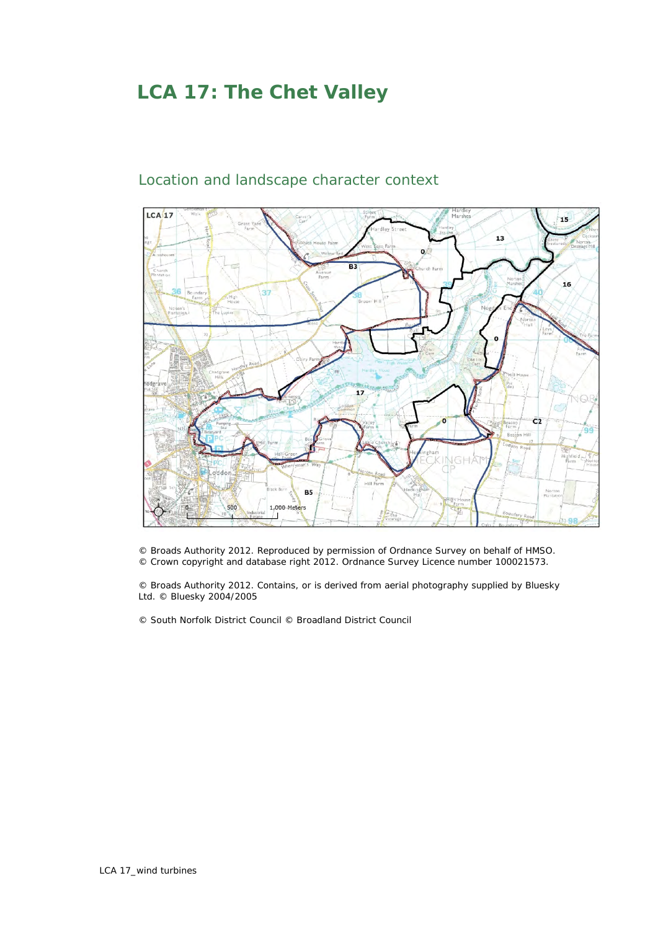## **LCA 17: The Chet Valley**



## Location and landscape character context

© Broads Authority 2012. Reproduced by permission of Ordnance Survey on behalf of HMSO. © Crown copyright and database right 2012. Ordnance Survey Licence number 100021573.

© Broads Authority 2012. Contains, or is derived from aerial photography supplied by Bluesky Ltd. © Bluesky 2004/2005

© South Norfolk District Council © Broadland District Council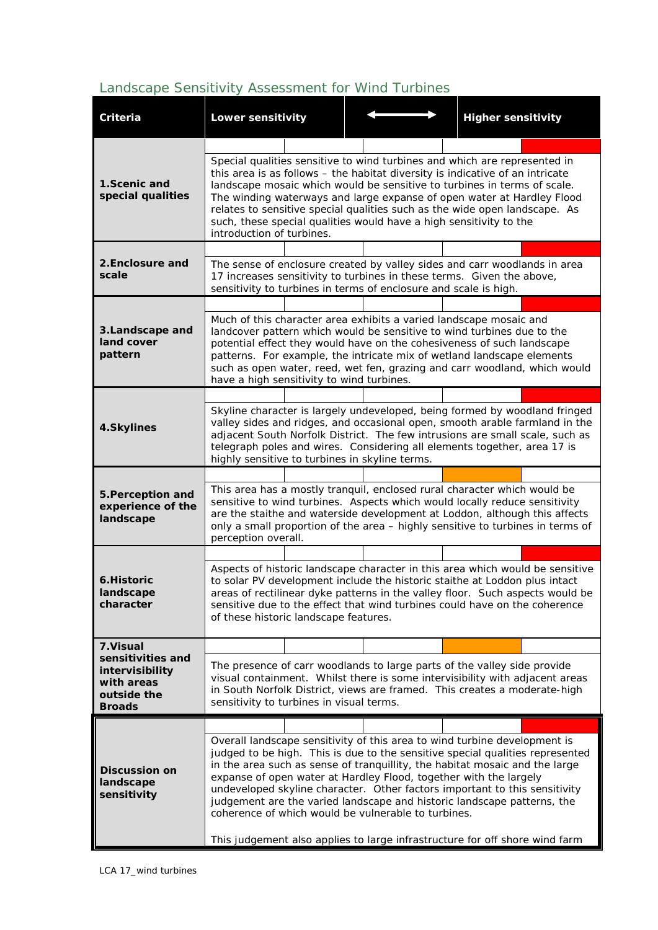## *Landscape Sensitivity Assessment for Wind Turbines*

| Criteria                                                                           | <b>Lower sensitivity</b>                                                                                                                                                                                                                                                                                                                                                                                                                                                                                                                                                                                      |  |  |  |  | <b>Higher sensitivity</b> |  |
|------------------------------------------------------------------------------------|---------------------------------------------------------------------------------------------------------------------------------------------------------------------------------------------------------------------------------------------------------------------------------------------------------------------------------------------------------------------------------------------------------------------------------------------------------------------------------------------------------------------------------------------------------------------------------------------------------------|--|--|--|--|---------------------------|--|
|                                                                                    |                                                                                                                                                                                                                                                                                                                                                                                                                                                                                                                                                                                                               |  |  |  |  |                           |  |
| 1.Scenic and<br>special qualities                                                  | Special qualities sensitive to wind turbines and which are represented in<br>this area is as follows - the habitat diversity is indicative of an intricate<br>landscape mosaic which would be sensitive to turbines in terms of scale.<br>The winding waterways and large expanse of open water at Hardley Flood<br>relates to sensitive special qualities such as the wide open landscape. As<br>such, these special qualities would have a high sensitivity to the<br>introduction of turbines.                                                                                                             |  |  |  |  |                           |  |
|                                                                                    |                                                                                                                                                                                                                                                                                                                                                                                                                                                                                                                                                                                                               |  |  |  |  |                           |  |
| 2. Enclosure and<br>scale                                                          | The sense of enclosure created by valley sides and carr woodlands in area<br>17 increases sensitivity to turbines in these terms. Given the above,<br>sensitivity to turbines in terms of enclosure and scale is high.                                                                                                                                                                                                                                                                                                                                                                                        |  |  |  |  |                           |  |
|                                                                                    |                                                                                                                                                                                                                                                                                                                                                                                                                                                                                                                                                                                                               |  |  |  |  |                           |  |
| 3. Landscape and<br>land cover<br>pattern                                          | Much of this character area exhibits a varied landscape mosaic and<br>landcover pattern which would be sensitive to wind turbines due to the<br>potential effect they would have on the cohesiveness of such landscape<br>patterns. For example, the intricate mix of wetland landscape elements<br>such as open water, reed, wet fen, grazing and carr woodland, which would<br>have a high sensitivity to wind turbines.                                                                                                                                                                                    |  |  |  |  |                           |  |
|                                                                                    |                                                                                                                                                                                                                                                                                                                                                                                                                                                                                                                                                                                                               |  |  |  |  |                           |  |
| 4.Skylines                                                                         | Skyline character is largely undeveloped, being formed by woodland fringed<br>valley sides and ridges, and occasional open, smooth arable farmland in the<br>adjacent South Norfolk District. The few intrusions are small scale, such as<br>telegraph poles and wires. Considering all elements together, area 17 is<br>highly sensitive to turbines in skyline terms.                                                                                                                                                                                                                                       |  |  |  |  |                           |  |
|                                                                                    |                                                                                                                                                                                                                                                                                                                                                                                                                                                                                                                                                                                                               |  |  |  |  |                           |  |
| 5. Perception and<br>experience of the<br>landscape                                | This area has a mostly tranquil, enclosed rural character which would be<br>sensitive to wind turbines. Aspects which would locally reduce sensitivity<br>are the staithe and waterside development at Loddon, although this affects<br>only a small proportion of the area - highly sensitive to turbines in terms of<br>perception overall.                                                                                                                                                                                                                                                                 |  |  |  |  |                           |  |
|                                                                                    |                                                                                                                                                                                                                                                                                                                                                                                                                                                                                                                                                                                                               |  |  |  |  |                           |  |
| <b>6.Historic</b><br>landscape<br>character                                        | Aspects of historic landscape character in this area which would be sensitive<br>to solar PV development include the historic staithe at Loddon plus intact<br>areas of rectilinear dyke patterns in the valley floor. Such aspects would be<br>sensitive due to the effect that wind turbines could have on the coherence<br>of these historic landscape features.                                                                                                                                                                                                                                           |  |  |  |  |                           |  |
| 7. Visual                                                                          |                                                                                                                                                                                                                                                                                                                                                                                                                                                                                                                                                                                                               |  |  |  |  |                           |  |
| sensitivities and<br>intervisibility<br>with areas<br>outside the<br><b>Broads</b> | The presence of carr woodlands to large parts of the valley side provide<br>visual containment. Whilst there is some intervisibility with adjacent areas<br>in South Norfolk District, views are framed. This creates a moderate-high<br>sensitivity to turbines in visual terms.                                                                                                                                                                                                                                                                                                                             |  |  |  |  |                           |  |
|                                                                                    |                                                                                                                                                                                                                                                                                                                                                                                                                                                                                                                                                                                                               |  |  |  |  |                           |  |
| <b>Discussion on</b><br>landscape<br>sensitivity                                   | Overall landscape sensitivity of this area to wind turbine development is<br>judged to be high. This is due to the sensitive special qualities represented<br>in the area such as sense of tranquillity, the habitat mosaic and the large<br>expanse of open water at Hardley Flood, together with the largely<br>undeveloped skyline character. Other factors important to this sensitivity<br>judgement are the varied landscape and historic landscape patterns, the<br>coherence of which would be vulnerable to turbines.<br>This judgement also applies to large infrastructure for off shore wind farm |  |  |  |  |                           |  |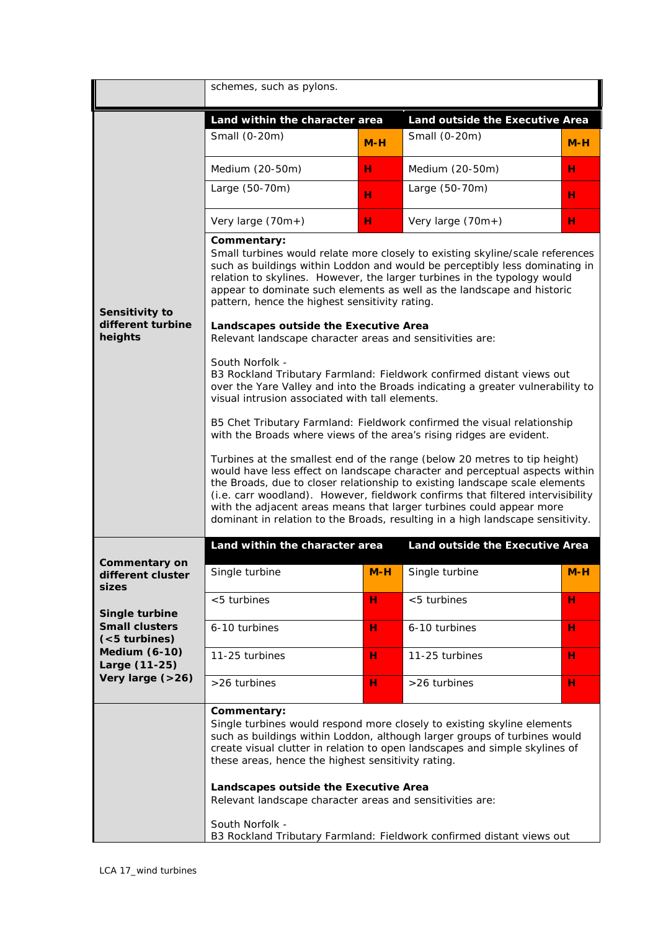|                                                                                                                                                                               | schemes, such as pylons.                                                                                                                                                                                                                                                                                                                                                                                                                                                                                                                                                                                                                                                                                                                                                                                                                                                                                                                                                                                                                                                                                                                                                                                                                                                                                                                                              |                                 |                                 |       |  |  |  |  |  |
|-------------------------------------------------------------------------------------------------------------------------------------------------------------------------------|-----------------------------------------------------------------------------------------------------------------------------------------------------------------------------------------------------------------------------------------------------------------------------------------------------------------------------------------------------------------------------------------------------------------------------------------------------------------------------------------------------------------------------------------------------------------------------------------------------------------------------------------------------------------------------------------------------------------------------------------------------------------------------------------------------------------------------------------------------------------------------------------------------------------------------------------------------------------------------------------------------------------------------------------------------------------------------------------------------------------------------------------------------------------------------------------------------------------------------------------------------------------------------------------------------------------------------------------------------------------------|---------------------------------|---------------------------------|-------|--|--|--|--|--|
|                                                                                                                                                                               | Land within the character area                                                                                                                                                                                                                                                                                                                                                                                                                                                                                                                                                                                                                                                                                                                                                                                                                                                                                                                                                                                                                                                                                                                                                                                                                                                                                                                                        | Land outside the Executive Area |                                 |       |  |  |  |  |  |
|                                                                                                                                                                               | Small (0-20m)                                                                                                                                                                                                                                                                                                                                                                                                                                                                                                                                                                                                                                                                                                                                                                                                                                                                                                                                                                                                                                                                                                                                                                                                                                                                                                                                                         | $M-H$                           | Small (0-20m)                   | $M-H$ |  |  |  |  |  |
|                                                                                                                                                                               | Medium (20-50m)                                                                                                                                                                                                                                                                                                                                                                                                                                                                                                                                                                                                                                                                                                                                                                                                                                                                                                                                                                                                                                                                                                                                                                                                                                                                                                                                                       | н                               | Medium (20-50m)                 | н     |  |  |  |  |  |
|                                                                                                                                                                               | Large (50-70m)                                                                                                                                                                                                                                                                                                                                                                                                                                                                                                                                                                                                                                                                                                                                                                                                                                                                                                                                                                                                                                                                                                                                                                                                                                                                                                                                                        | н                               | Large (50-70m)                  | н     |  |  |  |  |  |
|                                                                                                                                                                               | Very large $(70m+)$                                                                                                                                                                                                                                                                                                                                                                                                                                                                                                                                                                                                                                                                                                                                                                                                                                                                                                                                                                                                                                                                                                                                                                                                                                                                                                                                                   | н                               | Very large (70m+)               | н     |  |  |  |  |  |
| Sensitivity to<br>different turbine<br>heights                                                                                                                                | Commentary:<br>Small turbines would relate more closely to existing skyline/scale references<br>such as buildings within Loddon and would be perceptibly less dominating in<br>relation to skylines. However, the larger turbines in the typology would<br>appear to dominate such elements as well as the landscape and historic<br>pattern, hence the highest sensitivity rating.<br>Landscapes outside the Executive Area<br>Relevant landscape character areas and sensitivities are:<br>South Norfolk -<br>B3 Rockland Tributary Farmland: Fieldwork confirmed distant views out<br>over the Yare Valley and into the Broads indicating a greater vulnerability to<br>visual intrusion associated with tall elements.<br>B5 Chet Tributary Farmland: Fieldwork confirmed the visual relationship<br>with the Broads where views of the area's rising ridges are evident.<br>Turbines at the smallest end of the range (below 20 metres to tip height)<br>would have less effect on landscape character and perceptual aspects within<br>the Broads, due to closer relationship to existing landscape scale elements<br>(i.e. carr woodland). However, fieldwork confirms that filtered intervisibility<br>with the adjacent areas means that larger turbines could appear more<br>dominant in relation to the Broads, resulting in a high landscape sensitivity. |                                 |                                 |       |  |  |  |  |  |
|                                                                                                                                                                               | Land within the character area                                                                                                                                                                                                                                                                                                                                                                                                                                                                                                                                                                                                                                                                                                                                                                                                                                                                                                                                                                                                                                                                                                                                                                                                                                                                                                                                        |                                 | Land outside the Executive Area |       |  |  |  |  |  |
| <b>Commentary on</b><br>different cluster<br>sizes<br>Single turbine<br><b>Small clusters</b><br>$(<5$ turbines)<br><b>Medium (6-10)</b><br>Large (11-25)<br>Very large (>26) | Single turbine                                                                                                                                                                                                                                                                                                                                                                                                                                                                                                                                                                                                                                                                                                                                                                                                                                                                                                                                                                                                                                                                                                                                                                                                                                                                                                                                                        | $M-H$                           | Single turbine                  | $M-H$ |  |  |  |  |  |
|                                                                                                                                                                               | <5 turbines                                                                                                                                                                                                                                                                                                                                                                                                                                                                                                                                                                                                                                                                                                                                                                                                                                                                                                                                                                                                                                                                                                                                                                                                                                                                                                                                                           | н                               | <5 turbines                     | н     |  |  |  |  |  |
|                                                                                                                                                                               | 6-10 turbines                                                                                                                                                                                                                                                                                                                                                                                                                                                                                                                                                                                                                                                                                                                                                                                                                                                                                                                                                                                                                                                                                                                                                                                                                                                                                                                                                         | н                               | 6-10 turbines                   | н     |  |  |  |  |  |
|                                                                                                                                                                               | 11-25 turbines                                                                                                                                                                                                                                                                                                                                                                                                                                                                                                                                                                                                                                                                                                                                                                                                                                                                                                                                                                                                                                                                                                                                                                                                                                                                                                                                                        | н                               | 11-25 turbines                  | н     |  |  |  |  |  |
|                                                                                                                                                                               | >26 turbines                                                                                                                                                                                                                                                                                                                                                                                                                                                                                                                                                                                                                                                                                                                                                                                                                                                                                                                                                                                                                                                                                                                                                                                                                                                                                                                                                          | н                               | >26 turbines                    | н     |  |  |  |  |  |
|                                                                                                                                                                               | Commentary:<br>Single turbines would respond more closely to existing skyline elements<br>such as buildings within Loddon, although larger groups of turbines would<br>create visual clutter in relation to open landscapes and simple skylines of<br>these areas, hence the highest sensitivity rating.<br>Landscapes outside the Executive Area<br>Relevant landscape character areas and sensitivities are:<br>South Norfolk -                                                                                                                                                                                                                                                                                                                                                                                                                                                                                                                                                                                                                                                                                                                                                                                                                                                                                                                                     |                                 |                                 |       |  |  |  |  |  |
|                                                                                                                                                                               | B3 Rockland Tributary Farmland: Fieldwork confirmed distant views out                                                                                                                                                                                                                                                                                                                                                                                                                                                                                                                                                                                                                                                                                                                                                                                                                                                                                                                                                                                                                                                                                                                                                                                                                                                                                                 |                                 |                                 |       |  |  |  |  |  |